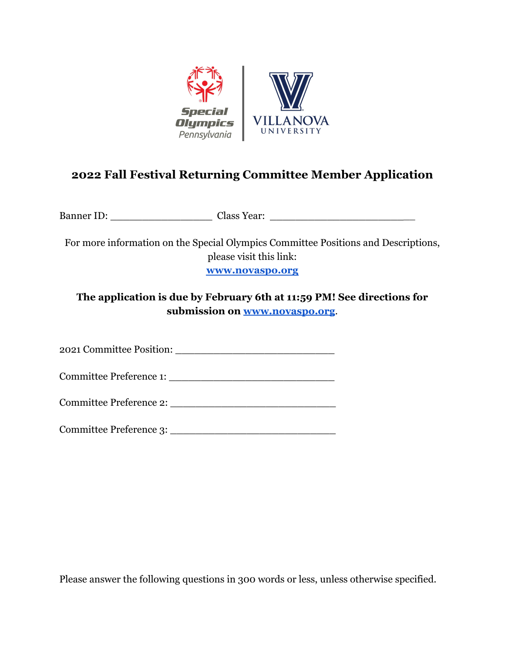

## **2022 Fall Festival Returning Committee Member Application**

Banner ID: Class Year:  $\Box$ 

For more information on the Special Olympics Committee Positions and Descriptions, please visit this link: **[www.novaspo.org](http://www.novaspo.org)**

**The application is due by February 6th at 11:59 PM! See directions for submission on [www.novaspo.org](http://www.novaspo.org)**.

2021 Committee Position:

Committee Preference 1: \_\_\_\_\_\_\_\_\_\_\_\_\_\_\_\_\_\_\_\_\_\_\_\_\_\_

Committee Preference 2: \_\_\_\_\_\_\_\_\_\_\_\_\_\_\_\_\_\_\_\_\_\_\_\_\_\_

Committee Preference 3:

Please answer the following questions in 300 words or less, unless otherwise specified.